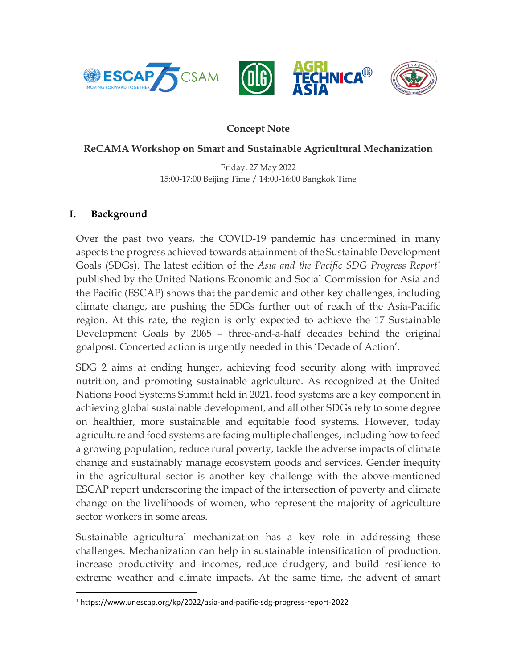

# **Concept Note**

### **ReCAMA Workshop on Smart and Sustainable Agricultural Mechanization**

Friday, 27 May 2022 15:00-17:00 Beijing Time / 14:00-16:00 Bangkok Time

#### **I. Background**

Over the past two years, the COVID-19 pandemic has undermined in many aspects the progress achieved towards attainment of the Sustainable Development Goals (SDGs). The latest edition of the *Asia and the Pacific SDG Progress Report<sup>1</sup>* published by the United Nations Economic and Social Commission for Asia and the Pacific (ESCAP) shows that the pandemic and other key challenges, including climate change, are pushing the SDGs further out of reach of the Asia-Pacific region. At this rate, the region is only expected to achieve the 17 Sustainable Development Goals by 2065 – three-and-a-half decades behind the original goalpost. Concerted action is urgently needed in this 'Decade of Action'.

SDG 2 aims at ending hunger, achieving food security along with improved nutrition, and promoting sustainable agriculture. As recognized at the United Nations Food Systems Summit held in 2021, food systems are a key component in achieving global sustainable development, and all other SDGs rely to some degree on healthier, more sustainable and equitable food systems. However, today agriculture and food systems are facing multiple challenges, including how to feed a growing population, reduce rural poverty, tackle the adverse impacts of climate change and sustainably manage ecosystem goods and services. Gender inequity in the agricultural sector is another key challenge with the above-mentioned ESCAP report underscoring the impact of the intersection of poverty and climate change on the livelihoods of women, who represent the majority of agriculture sector workers in some areas.

Sustainable agricultural mechanization has a key role in addressing these challenges. Mechanization can help in sustainable intensification of production, increase productivity and incomes, reduce drudgery, and build resilience to extreme weather and climate impacts. At the same time, the advent of smart

<sup>1</sup> https://www.unescap.org/kp/2022/asia-and-pacific-sdg-progress-report-2022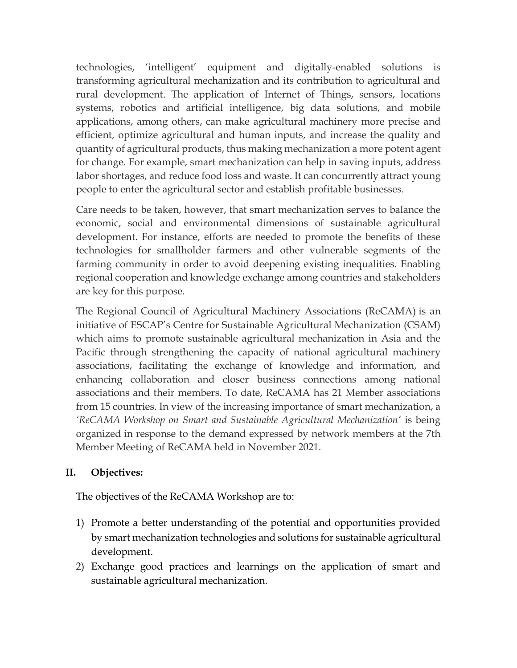technologies, 'intelligent' equipment and digitally-enabled solutions is transforming agricultural mechanization and its contribution to agricultural and rural development. The application of Internet of Things, sensors, locations systems, robotics and artificial intelligence, big data solutions, and mobile applications, among others, can make agricultural machinery more precise and efficient, optimize agricultural and human inputs, and increase the quality and quantity of agricultural products, thus making mechanization a more potent agent for change. For example, smart mechanization can help in saving inputs, address labor shortages, and reduce food loss and waste. It can concurrently attract young people to enter the agricultural sector and establish profitable businesses.

Care needs to be taken, however, that smart mechanization serves to balance the economic, social and environmental dimensions of sustainable agricultural development. For instance, efforts are needed to promote the benefits of these technologies for smallholder farmers and other vulnerable segments of the farming community in order to avoid deepening existing inequalities. Enabling regional cooperation and knowledge exchange among countries and stakeholders are key for this purpose.

The Regional Council of Agricultural Machinery Associations (ReCAMA) is an initiative of ESCAP's Centre for Sustainable Agricultural Mechanization (CSAM) which aims to promote sustainable agricultural mechanization in Asia and the Pacific through strengthening the capacity of national agricultural machinery associations, facilitating the exchange of knowledge and information, and enhancing collaboration and closer business connections among national associations and their members. To date, ReCAMA has 21 Member associations from 15 countries. In view of the increasing importance of smart mechanization, a *'ReCAMA Workshop on Smart and Sustainable Agricultural Mechanization'* is being organized in response to the demand expressed by network members at the 7th Member Meeting of ReCAMA held in November 2021.

### **II. Objectives:**

The objectives of the ReCAMA Workshop are to:

- 1) Promote a better understanding of the potential and opportunities provided by smart mechanization technologies and solutions for sustainable agricultural development.
- 2) Exchange good practices and learnings on the application of smart and sustainable agricultural mechanization.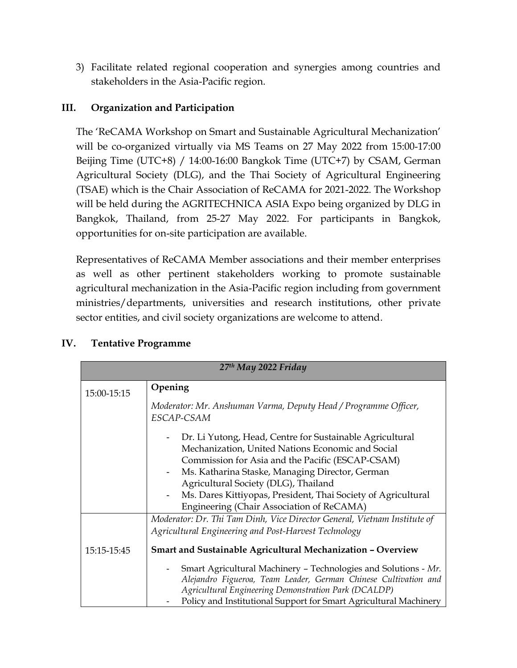3) Facilitate related regional cooperation and synergies among countries and stakeholders in the Asia-Pacific region.

# **III. Organization and Participation**

The 'ReCAMA Workshop on Smart and Sustainable Agricultural Mechanization' will be co-organized virtually via MS Teams on 27 May 2022 from 15:00-17:00 Beijing Time (UTC+8) / 14:00-16:00 Bangkok Time (UTC+7) by CSAM, German Agricultural Society (DLG), and the Thai Society of Agricultural Engineering (TSAE) which is the Chair Association of ReCAMA for 2021-2022. The Workshop will be held during the AGRITECHNICA ASIA Expo being organized by DLG in Bangkok, Thailand, from 25-27 May 2022. For participants in Bangkok, opportunities for on-site participation are available.

Representatives of ReCAMA Member associations and their member enterprises as well as other pertinent stakeholders working to promote sustainable agricultural mechanization in the Asia-Pacific region including from government ministries/departments, universities and research institutions, other private sector entities, and civil society organizations are welcome to attend.

| 27 <sup>th</sup> May 2022 Friday |                                                                                                                                                                                                                                                                                                                                                                                                                                                                                                                |
|----------------------------------|----------------------------------------------------------------------------------------------------------------------------------------------------------------------------------------------------------------------------------------------------------------------------------------------------------------------------------------------------------------------------------------------------------------------------------------------------------------------------------------------------------------|
| 15:00-15:15                      | Opening                                                                                                                                                                                                                                                                                                                                                                                                                                                                                                        |
|                                  | Moderator: Mr. Anshuman Varma, Deputy Head / Programme Officer,<br>ESCAP-CSAM                                                                                                                                                                                                                                                                                                                                                                                                                                  |
|                                  | Dr. Li Yutong, Head, Centre for Sustainable Agricultural<br>Mechanization, United Nations Economic and Social<br>Commission for Asia and the Pacific (ESCAP-CSAM)<br>Ms. Katharina Staske, Managing Director, German<br>Agricultural Society (DLG), Thailand<br>Ms. Dares Kittiyopas, President, Thai Society of Agricultural<br>Engineering (Chair Association of ReCAMA)<br>Moderator: Dr. Thi Tam Dinh, Vice Director General, Vietnam Institute of<br>Agricultural Engineering and Post-Harvest Technology |
| 15:15-15:45                      | Smart and Sustainable Agricultural Mechanization - Overview                                                                                                                                                                                                                                                                                                                                                                                                                                                    |
|                                  | Smart Agricultural Machinery - Technologies and Solutions - Mr.<br>Alejandro Figueroa, Team Leader, German Chinese Cultivation and<br>Agricultural Engineering Demonstration Park (DCALDP)<br>Policy and Institutional Support for Smart Agricultural Machinery                                                                                                                                                                                                                                                |

# **IV. Tentative Programme**